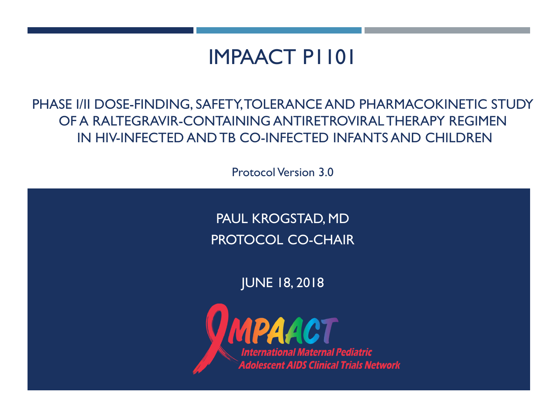### IMPAACT P1101

PHASE I/II DOSE-FINDING, SAFETY, TOLERANCE AND PHARMACOKINETIC STUDY OF A RALTEGRAVIR-CONTAINING ANTIRETROVIRAL THERAPY REGIMEN IN HIV-INFECTED AND TB CO-INFECTED INFANTS AND CHILDREN

Protocol Version 3.0

PAUL KROGSTAD, MD PROTOCOL CO-CHAIR

JUNE 18, 2018

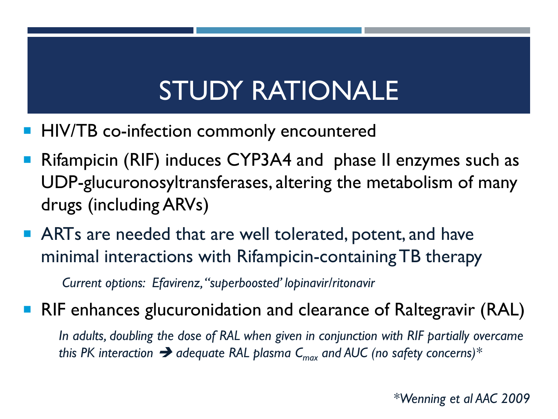# STUDY RATIONALE

- HIV/TB co-infection commonly encountered
- Rifampicin (RIF) induces CYP3A4 and phase II enzymes such as UDP-glucuronosyltransferases, altering the metabolism of many drugs (including ARVs)
- **ARTs are needed that are well tolerated, potent, and have** minimal interactions with Rifampicin-containing TB therapy

*Current options: Efavirenz, "superboosted' lopinavir/ritonavir*

■ RIF enhances glucuronidation and clearance of Raltegravir (RAL)

*In adults, doubling the dose of RAL when given in conjunction with RIF partially overcame this PK interaction*  $\rightarrow$  adequate RAL plasma  $C_{max}$  and AUC (no safety concerns)<sup>\*</sup>

*\*Wenning et al AAC 2009*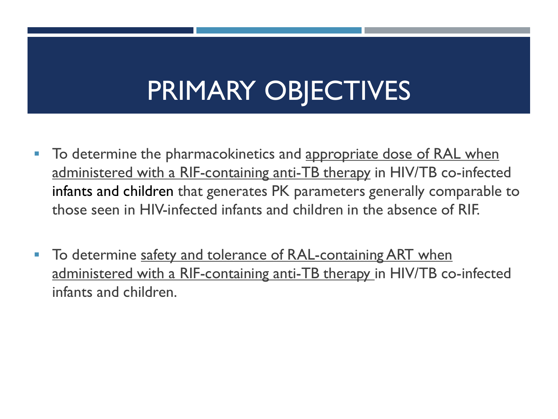# PRIMARY OBJECTIVES

- To determine the pharmacokinetics and appropriate dose of RAL when administered with a RIF-containing anti-TB therapy in HIV/TB co-infected infants and children that generates PK parameters generally comparable to those seen in HIV-infected infants and children in the absence of RIF.
- To determine safety and tolerance of RAL-containing ART when administered with a RIF-containing anti-TB therapy in HIV/TB co-infected infants and children.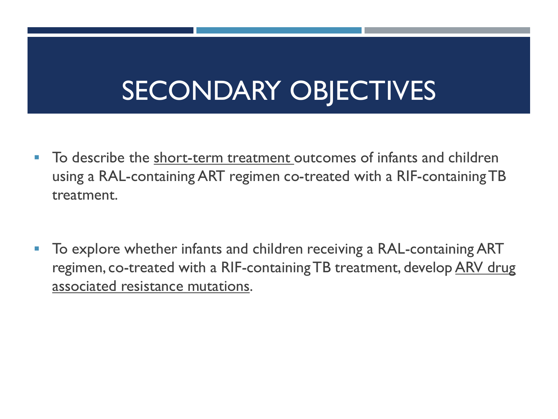# SECONDARY OBJECTIVES

- To describe the short-term treatment outcomes of infants and children using a RAL-containing ART regimen co-treated with a RIF-containing TB treatment.
- **To explore whether infants and children receiving a RAL-containing ART** regimen, co-treated with a RIF-containing TB treatment, develop ARV drug associated resistance mutations.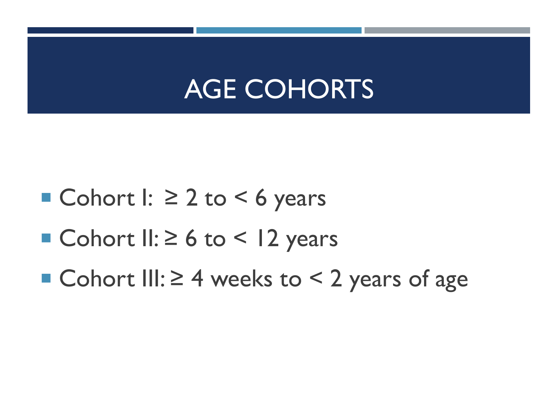## AGE COHORTS

- Cohort  $I: \geq 2$  to  $\leq 6$  years
- Cohort II:  $\geq 6$  to < 12 years
- Cohort III:  $\geq 4$  weeks to < 2 years of age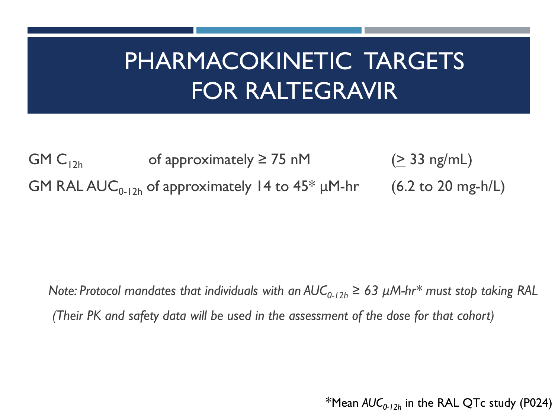## PHARMACOKINETIC TARGETS FOR RALTEGRAVIR

GM C<sub>12h</sub> of approximately  $\geq$  75 nM ( $\geq$  33 ng/mL) GM RAL AUC<sub>0-12h</sub> of approximately 14 to  $45* \mu M-hr$  (6.2 to 20 mg-h/L)

*Note: Protocol mandates that individuals with an*  $AUC_{0-12h} \geq 63 \mu M-hr^*$  *must stop taking RAL (Their PK and safety data will be used in the assessment of the dose for that cohort)*

<sup>\*</sup>Mean  $AUC_{0-12h}$  in the RAL QTc study (P024)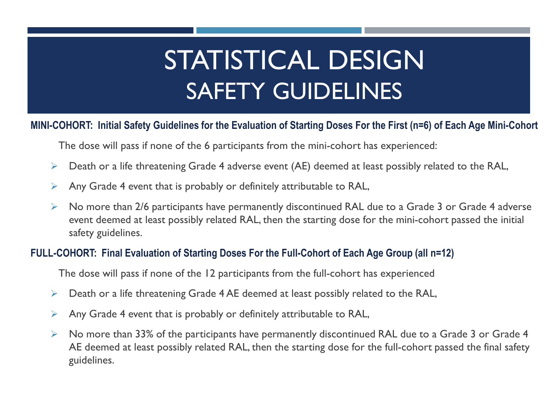## STATISTICAL DESIGN SAFETY GUIDELINES

#### **MINI-COHORT: Initial Safety Guidelines for the Evaluation of Starting Doses For the First (n=6) of Each Age Mini-Cohort**

The dose will pass if none of the 6 participants from the mini-cohort has experienced:

- $\triangleright$  Death or a life threatening Grade 4 adverse event (AE) deemed at least possibly related to the RAL,
- $\triangleright$  Any Grade 4 event that is probably or definitely attributable to RAL,
- $\triangleright$  No more than 2/6 participants have permanently discontinued RAL due to a Grade 3 or Grade 4 adverse event deemed at least possibly related RAL, then the starting dose for the mini-cohort passed the initial safety guidelines.

#### **FULL-COHORT: Final Evaluation of Starting Doses For the Full-Cohort of Each Age Group (all n=12)**

The dose will pass if none of the 12 participants from the full-cohort has experienced

- $\triangleright$  Death or a life threatening Grade 4 AE deemed at least possibly related to the RAL,
- $\triangleright$  Any Grade 4 event that is probably or definitely attributable to RAL,
- $\triangleright$  No more than 33% of the participants have permanently discontinued RAL due to a Grade 3 or Grade 4 AE deemed at least possibly related RAL, then the starting dose for the full-cohort passed the final safety guidelines.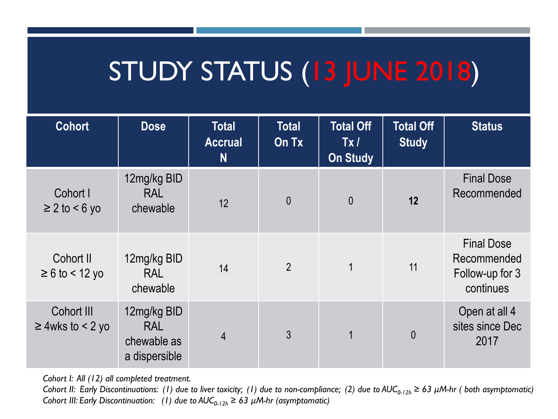## STUDY STATUS (13 JUNE 2018)

| <b>Cohort</b>                       | <b>Dose</b>                                               | <b>Total</b><br><b>Accrual</b><br>N | <b>Total</b><br>On Tx | <b>Total Off</b><br>Tx/<br><b>On Study</b> | <b>Total Off</b><br><b>Study</b> | <b>Status</b>                                                    |
|-------------------------------------|-----------------------------------------------------------|-------------------------------------|-----------------------|--------------------------------------------|----------------------------------|------------------------------------------------------------------|
| Cohort I<br>$\geq$ 2 to < 6 yo      | 12mg/kg BID<br><b>RAL</b><br>chewable                     | 12                                  | $\overline{0}$        | $\theta$                                   | 12                               | <b>Final Dose</b><br>Recommended                                 |
| Cohort II<br>$\geq 6$ to < 12 yo    | 12mg/kg BID<br><b>RAL</b><br>chewable                     | 14                                  | $\overline{2}$        | $\mathbf 1$                                | 11                               | <b>Final Dose</b><br>Recommended<br>Follow-up for 3<br>continues |
| Cohort III<br>$\geq$ 4wks to < 2 yo | 12mg/kg BID<br><b>RAL</b><br>chewable as<br>a dispersible | $\overline{4}$                      | 3                     | 1                                          | $\overline{0}$                   | Open at all 4<br>sites since Dec<br>2017                         |

*Cohort I: All (12) all completed treatment.*

*Cohort II: Early Discontinuations: (1) due to liver toxicity; (1) due to non-compliance; (2) due to*  $AUC_{0-12h} \geq 63 \mu M$ *-hr (both asymptomatic) Cohort III: Early Discontinuation:* (1) due to  $AUC_{0-12h} \ge 63 \mu M$ -hr (asymptomatic)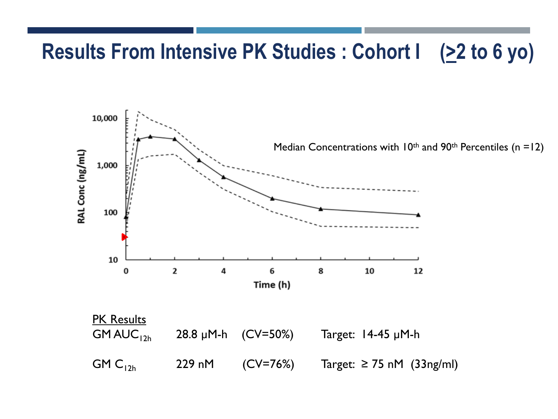### **Results From Intensive PK Studies : Cohort I (22 to 6 yo)**

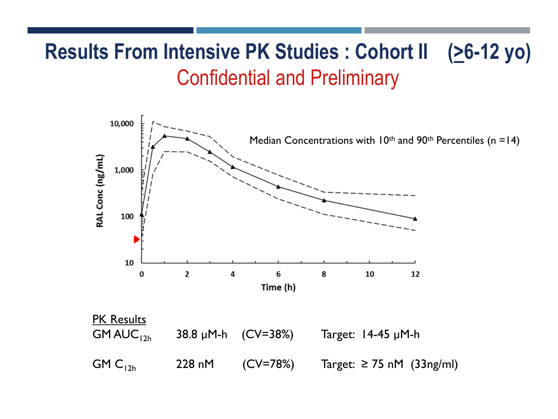### **Results From Intensive PK Studies : Cohort II (>6-12 yo)** Confidential and Preliminary

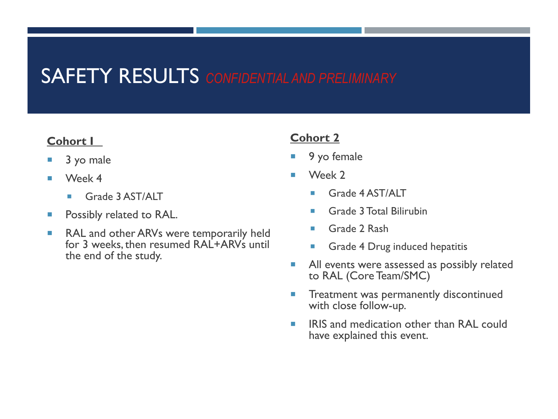### SAFETY RESULTS *CONFIDENTIAL AND PRELIMINARY*

#### **Cohort I**

- 3 yo male
- **Week 4** 
	- Grade 3 AST/ALT
- **Possibly related to RAL.**
- RAL and other ARVs were temporarily held for 3 weeks, then resumed RAL+ARVs until the end of the study.

#### **Cohort 2**

- 9 yo female
- Week 2
	- Grade 4 AST/ALT
	- **Grade 3 Total Bilirubin**
	- Grade 2 Rash
	- **Grade 4 Drug induced hepatitis**
- All events were assessed as possibly related to RAL (Core Team/SMC)
- **Treatment was permanently discontinued** with close follow-up.
- **IF IRIS and medication other than RAL could** have explained this event.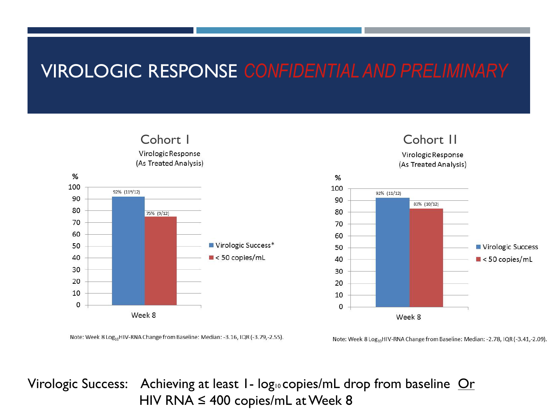### VIROLOGIC RESPONSE *CONFIDENTIAL AND PRELIMINARY*



Note: Week 8 Log<sub>10</sub>HIV-RNA Change from Baseline: Median: -3.16, IQR (-3.79,-2.55).



Note: Week 8 Log<sub>10</sub>HIV-RNA Change from Baseline: Median: -2.78, IQR (-3.41,-2.09).

Virologic Success: Achieving at least  $I - log<sub>10</sub>$  copies/mL drop from baseline  $Qr$ HIV RNA  $\leq 400$  copies/mL at Week 8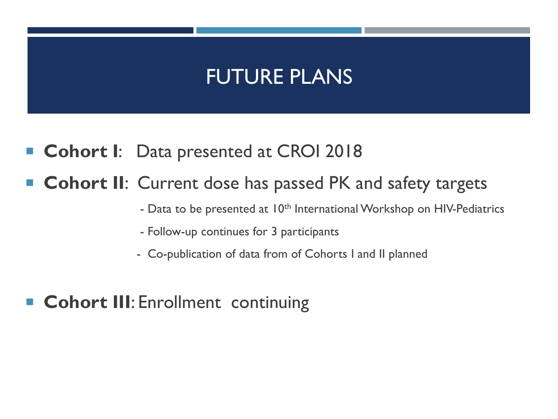### FUTURE PLANS

**Cohort I**: Data presented at CROI 2018

#### **Cohort II:** Current dose has passed PK and safety targets

- Data to be presented at 10<sup>th</sup> International Workshop on HIV-Pediatrics
- Follow-up continues for 3 participants
- Co-publication of data from of Cohorts I and II planned
- **Cohort III: Enrollment continuing**